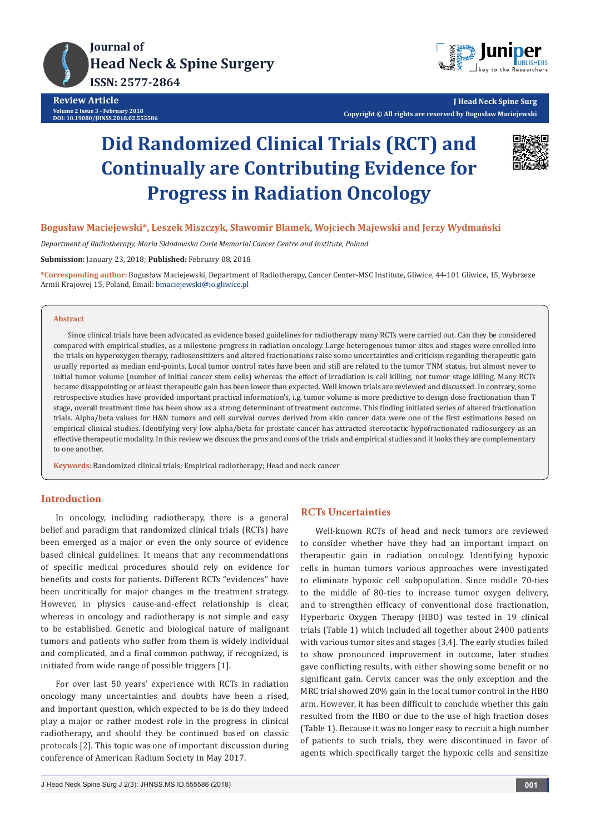



**J Head Neck Spine Surg Copyright © All rights are reserved by Bogusław Maciejewski**

# **Did Randomized Clinical Trials (RCT) and Continually are Contributing Evidence for Progress in Radiation Oncology**



## **Bogusław Maciejewski\*, Leszek Miszczyk, Sławomir Blamek, Wojciech Majewski and Jerzy Wydmański**

*Department of Radiotherapy, Maria Skłodowska Curie Memorial Cancer Centre and Institute, Poland*

**Submission:** January 23, 2018; **Published:** February 08, 2018

**\*Corresponding author:** Bogusław Maciejewski, Department of Radiotherapy, Cancer Center-MSC Institute, Gliwice, 44-101 Gliwice, 15, Wybrzeze Armii Krajowej 15, Poland, Email: bmaciejewski@io.gliwice.pl

### **Abstract**

Since clinical trials have been advocated as evidence based guidelines for radiotherapy many RCTs were carried out. Can they be considered compared with empirical studies, as a milestone progress in radiation oncology. Large heterogenous tumor sites and stages were enrolled into the trials on hyperoxygen therapy, radiosensitizers and altered fractionations raise some uncertainties and criticism regarding therapeutic gain usually reported as median end-points. Local tumor control rates have been and still are related to the tumor TNM status, but almost never to initial tumor volume (number of initial cancer stem cells) whereas the effect of irradiation is cell killing, not tumor stage killing. Many RCTs became disappointing or at least therapeutic gain has been lower than expected. Well known trials are reviewed and discussed. In contrary, some retrospective studies have provided important practical information's, i.g. tumor volume is more predictive to design dose fractionation than T stage, overall treatment time has been show as a strong determinant of treatment outcome. This finding initiated series of altered fractionation trials. Alpha/beta values for H&N tumors and cell survival curves derived from skin cancer data were one of the first estimations based on empirical clinical studies. Identifying very low alpha/beta for prostate cancer has attracted stereotactic hypofractionated radiosurgery as an effective therapeutic modality. In this review we discuss the pros and cons of the trials and empirical studies and it looks they are complementary to one another.

**Keywords:** Randomized clinical trials; Empirical radiotherapy; Head and neck cancer

## **Introduction**

In oncology, including radiotherapy, there is a general belief and paradigm that randomized clinical trials (RCTs) have been emerged as a major or even the only source of evidence based clinical guidelines. It means that any recommendations of specific medical procedures should rely on evidence for benefits and costs for patients. Different RCTs "evidences" have been uncritically for major changes in the treatment strategy. However, in physics cause-and-effect relationship is clear, whereas in oncology and radiotherapy is not simple and easy to be established. Genetic and biological nature of malignant tumors and patients who suffer from them is widely individual and complicated, and a final common pathway, if recognized, is initiated from wide range of possible triggers [1].

For over last 50 years' experience with RCTs in radiation oncology many uncertainties and doubts have been a rised, and important question, which expected to be is do they indeed play a major or rather modest role in the progress in clinical radiotherapy, and should they be continued based on classic protocols [2]. This topic was one of important discussion during conference of American Radium Society in May 2017.

## **RCTs Uncertainties**

Well-known RCTs of head and neck tumors are reviewed to consider whether have they had an important impact on therapeutic gain in radiation oncology. Identifying hypoxic cells in human tumors various approaches were investigated to eliminate hypoxic cell subpopulation. Since middle 70-ties to the middle of 80-ties to increase tumor oxygen delivery, and to strengthen efficacy of conventional dose fractionation, Hyperbaric Oxygen Therapy (HBO) was tested in 19 clinical trials (Table 1) which included all together about 2400 patients with various tumor sites and stages [3,4]. The early studies failed to show pronounced improvement in outcome, later studies gave conflicting results, with either showing some benefit or no significant gain. Cervix cancer was the only exception and the MRC trial showed 20% gain in the local tumor control in the HBO arm. However, it has been difficult to conclude whether this gain resulted from the HBO or due to the use of high fraction doses (Table 1). Because it was no longer easy to recruit a high number of patients to such trials, they were discontinued in favor of agents which specifically target the hypoxic cells and sensitize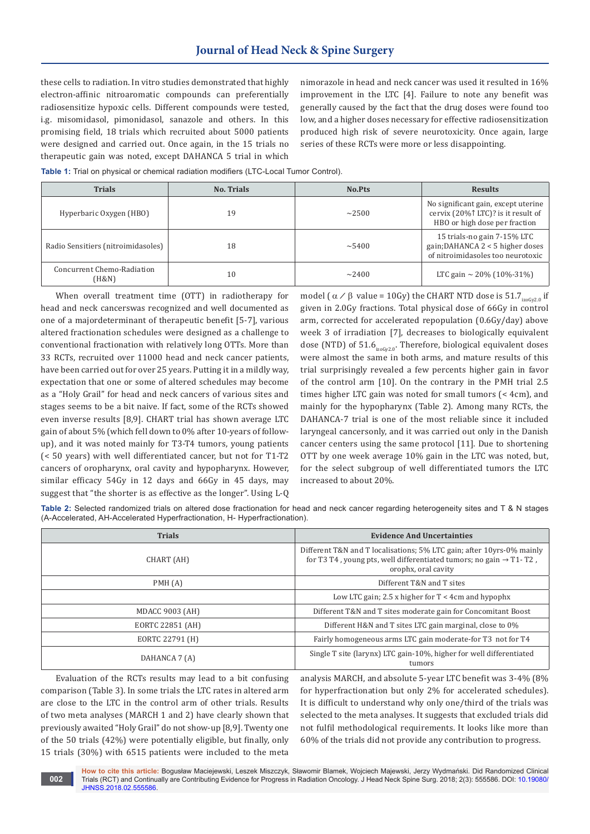these cells to radiation. In vitro studies demonstrated that highly electron-affinic nitroaromatic compounds can preferentially radiosensitize hypoxic cells. Different compounds were tested, i.g. misomidasol, pimonidasol, sanazole and others. In this promising field, 18 trials which recruited about 5000 patients were designed and carried out. Once again, in the 15 trials no therapeutic gain was noted, except DAHANCA 5 trial in which

nimorazole in head and neck cancer was used it resulted in 16% improvement in the LTC [4]. Failure to note any benefit was generally caused by the fact that the drug doses were found too low, and a higher doses necessary for effective radiosensitization produced high risk of severe neurotoxicity. Once again, large series of these RCTs were more or less disappointing.

**Table 1:** Trial on physical or chemical radiation modifiers (LTC-Local Tumor Control).

| <b>Trials</b>                       | <b>No. Trials</b> | No.Pts      | <b>Results</b>                                                                                                       |
|-------------------------------------|-------------------|-------------|----------------------------------------------------------------------------------------------------------------------|
| Hyperbaric Oxygen (HBO)             | 19                | $\sim$ 2500 | No significant gain, except uterine<br>cervix (20% $\uparrow$ LTC)? is it result of<br>HBO or high dose per fraction |
| Radio Sensitiers (nitroimidasoles)  | 18                | $\sim$ 5400 | 15 trials-no gain 7-15% LTC<br>gain; DAHANCA $2 < 5$ higher doses<br>of nitroimidasoles too neurotoxic               |
| Concurrent Chemo-Radiation<br>(H&N) | $10\,$            | $\sim$ 2400 | LTC gain $\sim$ 20% (10%-31%)                                                                                        |

When overall treatment time (OTT) in radiotherapy for head and neck cancerswas recognized and well documented as one of a majordeterminant of therapeutic benefit [5-7], various altered fractionation schedules were designed as a challenge to conventional fractionation with relatively long OTTs. More than 33 RCTs, recruited over 11000 head and neck cancer patients, have been carried out for over 25 years. Putting it in a mildly way, expectation that one or some of altered schedules may become as a "Holy Grail" for head and neck cancers of various sites and stages seems to be a bit naive. If fact, some of the RCTs showed even inverse results [8,9]. CHART trial has shown average LTC gain of about 5% (which fell down to 0% after 10-years of followup), and it was noted mainly for T3-T4 tumors, young patients (< 50 years) with well differentiated cancer, but not for T1-T2 cancers of oropharynx, oral cavity and hypopharynx. However, similar efficacy 54Gy in 12 days and 66Gy in 45 days, may suggest that "the shorter is as effective as the longer". Using L-Q

model ( $\alpha$  /  $\beta$  value = 10Gy) the CHART NTD dose is 51.7<sub>izoGy2.0</sub> if given in 2.0Gy fractions. Total physical dose of 66Gy in control arm, corrected for accelerated repopulation (0.6Gy/day) above week 3 of irradiation [7], decreases to biologically equivalent dose (NTD) of  $51.6<sub>izoGv2.0</sub>$ . Therefore, biological equivalent doses were almost the same in both arms, and mature results of this trial surprisingly revealed a few percents higher gain in favor of the control arm [10]. On the contrary in the PMH trial 2.5 times higher LTC gain was noted for small tumors (< 4cm), and mainly for the hypopharynx (Table 2). Among many RCTs, the DAHANCA-7 trial is one of the most reliable since it included laryngeal cancersonly, and it was carried out only in the Danish cancer centers using the same protocol [11]. Due to shortening OTT by one week average 10% gain in the LTC was noted, but, for the select subgroup of well differentiated tumors the LTC increased to about 20%.

**Table 2:** Selected randomized trials on altered dose fractionation for head and neck cancer regarding heterogeneity sites and T & N stages (A-Accelerated, AH-Accelerated Hyperfractionation, H- Hyperfractionation).

| <b>Trials</b>          | <b>Evidence And Uncertainties</b>                                                                                                                                              |  |
|------------------------|--------------------------------------------------------------------------------------------------------------------------------------------------------------------------------|--|
| CHART (AH)             | Different T&N and T localisations; 5% LTC gain; after 10yrs-0% mainly<br>for T3 T4, young pts, well differentiated tumors; no gain $\rightarrow$ T1-T2,<br>orophx, oral cavity |  |
| PMH(A)                 | Different T&N and T sites                                                                                                                                                      |  |
|                        | Low LTC gain; 2.5 x higher for $T < 4$ cm and hypophx                                                                                                                          |  |
| <b>MDACC 9003 (AH)</b> | Different T&N and T sites moderate gain for Concomitant Boost                                                                                                                  |  |
| EORTC 22851 (AH)       | Different H&N and T sites LTC gain marginal, close to 0%                                                                                                                       |  |
| EORTC 22791 (H)        | Fairly homogeneous arms LTC gain moderate-for T3 not for T4                                                                                                                    |  |
| DAHANCA 7 (A)          | Single T site (larynx) LTC gain-10%, higher for well differentiated<br>tumors                                                                                                  |  |

Evaluation of the RCTs results may lead to a bit confusing comparison (Table 3). In some trials the LTC rates in altered arm are close to the LTC in the control arm of other trials. Results of two meta analyses (MARCH 1 and 2) have clearly shown that previously awaited "Holy Grail" do not show-up [8,9]. Twenty one of the 50 trials (42%) were potentially eligible, but finally, only 15 trials (30%) with 6515 patients were included to the meta

analysis MARCH, and absolute 5-year LTC benefit was 3-4% (8% for hyperfractionation but only 2% for accelerated schedules). It is difficult to understand why only one/third of the trials was selected to the meta analyses. It suggests that excluded trials did not fulfil methodological requirements. It looks like more than 60% of the trials did not provide any contribution to progress.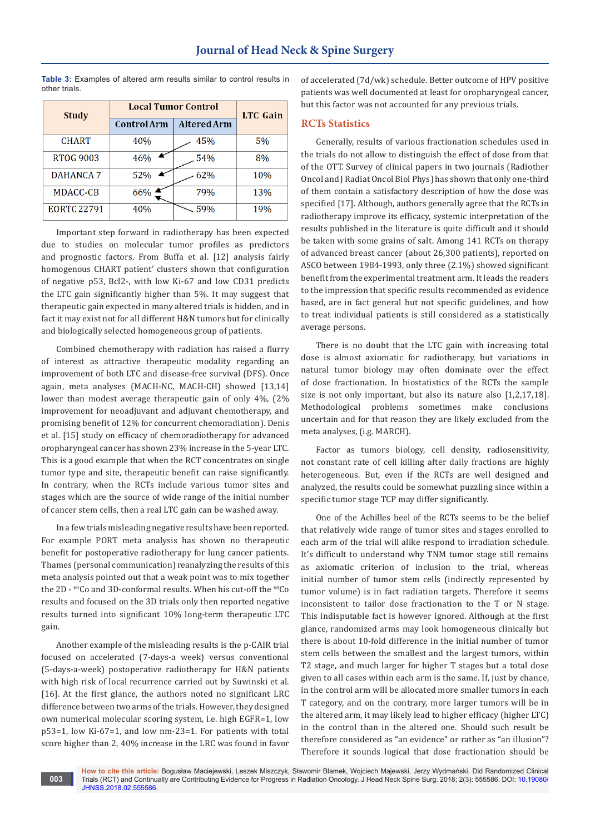**Table 3:** Examples of altered arm results similar to control results in other trials.

| <b>Study</b>       | <b>Local Tumor Control</b> |             | <b>LTC</b> Gain |
|--------------------|----------------------------|-------------|-----------------|
|                    | Control Arm                | Altered Arm |                 |
| <b>CHART</b>       | 40%                        | 45%         | 5%              |
| <b>RTOG 9003</b>   | 46%                        | 54%         | 8%              |
| <b>DAHANCA 7</b>   | 52%                        | 62%         | 10%             |
| MDACC-CB           | 66%                        | 79%         | 13%             |
| <b>EORTC 22791</b> | 40%                        | 59%         | 19%             |

Important step forward in radiotherapy has been expected due to studies on molecular tumor profiles as predictors and prognostic factors. From Buffa et al. [12] analysis fairly homogenous CHART patient' clusters shown that configuration of negative p53, Bcl2-, with low Ki-67 and low CD31 predicts the LTC gain significantly higher than 5%. It may suggest that therapeutic gain expected in many altered trials is hidden, and in fact it may exist not for all different H&N tumors but for clinically and biologically selected homogeneous group of patients.

Combined chemotherapy with radiation has raised a flurry of interest as attractive therapeutic modality regarding an improvement of both LTC and disease-free survival (DFS). Once again, meta analyses (MACH-NC, MACH-CH) showed [13,14] lower than modest average therapeutic gain of only 4%, (2% improvement for neoadjuvant and adjuvant chemotherapy, and promising benefit of 12% for concurrent chemoradiation). Denis et al. [15] study on efficacy of chemoradiotherapy for advanced oropharyngeal cancer has shown 23% increase in the 5-year LTC. This is a good example that when the RCT concentrates on single tumor type and site, therapeutic benefit can raise significantly. In contrary, when the RCTs include various tumor sites and stages which are the source of wide range of the initial number of cancer stem cells, then a real LTC gain can be washed away.

In a few trials misleading negative results have been reported. For example PORT meta analysis has shown no therapeutic benefit for postoperative radiotherapy for lung cancer patients. Thames (personal communication) reanalyzing the results of this meta analysis pointed out that a weak point was to mix together the 2D - <sup>60</sup>Co and 3D-conformal results. When his cut-off the <sup>60</sup>Co results and focused on the 3D trials only then reported negative results turned into significant 10% long-term therapeutic LTC gain.

Another example of the misleading results is the p-CAIR trial focused on accelerated (7-days-a week) versus conventional (5-days-a-week) postoperative radiotherapy for H&N patients with high risk of local recurrence carried out by Suwinski et al. [16]. At the first glance, the authors noted no significant LRC difference between two arms of the trials. However, they designed own numerical molecular scoring system, i.e. high EGFR=1, low p53=1, low Ki-67=1, and low nm-23=1. For patients with total score higher than 2, 40% increase in the LRC was found in favor

**003**

of accelerated (7d/wk) schedule. Better outcome of HPV positive patients was well documented at least for oropharyngeal cancer, but this factor was not accounted for any previous trials.

# **RCTs Statistics**

Generally, results of various fractionation schedules used in the trials do not allow to distinguish the effect of dose from that of the OTT. Survey of clinical papers in two journals (Radiother Oncol and J Radiat Oncol Biol Phys) has shown that only one-third of them contain a satisfactory description of how the dose was specified [17]. Although, authors generally agree that the RCTs in radiotherapy improve its efficacy, systemic interpretation of the results published in the literature is quite difficult and it should be taken with some grains of salt. Among 141 RCTs on therapy of advanced breast cancer (about 26,300 patients), reported on ASCO between 1984-1993, only three (2.1%) showed significant benefit from the experimental treatment arm. It leads the readers to the impression that specific results recommended as evidence based, are in fact general but not specific guidelines, and how to treat individual patients is still considered as a statistically average persons.

There is no doubt that the LTC gain with increasing total dose is almost axiomatic for radiotherapy, but variations in natural tumor biology may often dominate over the effect of dose fractionation. In biostatistics of the RCTs the sample size is not only important, but also its nature also [1,2,17,18]. Methodological problems sometimes make conclusions uncertain and for that reason they are likely excluded from the meta analyses, (i.g. MARCH).

Factor as tumors biology, cell density, radiosensitivity, not constant rate of cell killing after daily fractions are highly heterogeneous. But, even if the RCTs are well designed and analyzed, the results could be somewhat puzzling since within a specific tumor stage TCP may differ significantly.

One of the Achilles heel of the RCTs seems to be the belief that relatively wide range of tumor sites and stages enrolled to each arm of the trial will alike respond to irradiation schedule. It's difficult to understand why TNM tumor stage still remains as axiomatic criterion of inclusion to the trial, whereas initial number of tumor stem cells (indirectly represented by tumor volume) is in fact radiation targets. Therefore it seems inconsistent to tailor dose fractionation to the T or N stage. This indisputable fact is however ignored. Although at the first glance, randomized arms may look homogeneous clinically but there is about 10-fold difference in the initial number of tumor stem cells between the smallest and the largest tumors, within T2 stage, and much larger for higher T stages but a total dose given to all cases within each arm is the same. If, just by chance, in the control arm will be allocated more smaller tumors in each T category, and on the contrary, more larger tumors will be in the altered arm, it may likely lead to higher efficacy (higher LTC) in the control than in the altered one. Should such result be therefore considered as "an evidence" or rather as "an illusion"? Therefore it sounds logical that dose fractionation should be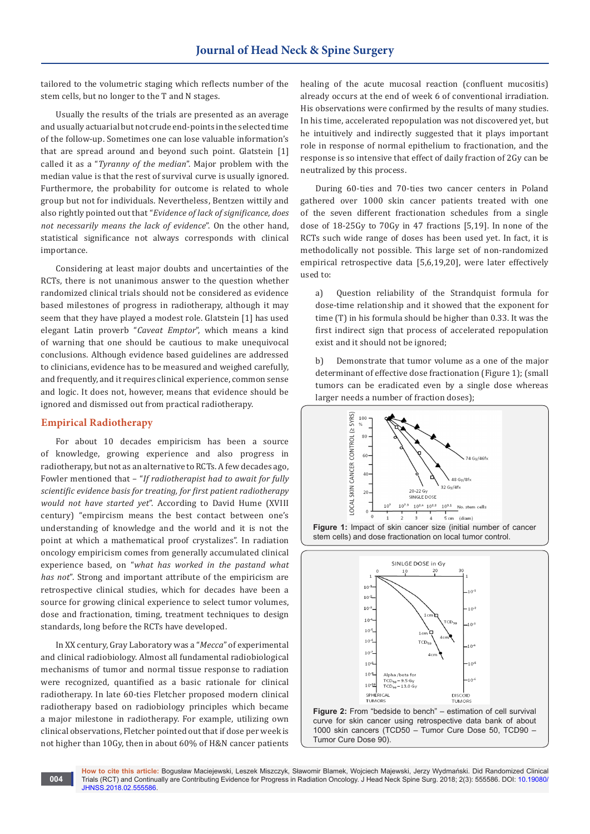tailored to the volumetric staging which reflects number of the stem cells, but no longer to the T and N stages.

Usually the results of the trials are presented as an average and usually actuarial but not crude end-points in the selected time of the follow-up. Sometimes one can lose valuable information's that are spread around and beyond such point. Glatstein [1] called it as a "*Tyranny of the median*". Major problem with the median value is that the rest of survival curve is usually ignored. Furthermore, the probability for outcome is related to whole group but not for individuals. Nevertheless, Bentzen wittily and also rightly pointed out that "*Evidence of lack of significance, does not necessarily means the lack of evidence*". On the other hand, statistical significance not always corresponds with clinical importance.

Considering at least major doubts and uncertainties of the RCTs, there is not unanimous answer to the question whether randomized clinical trials should not be considered as evidence based milestones of progress in radiotherapy, although it may seem that they have played a modest role. Glatstein [1] has used elegant Latin proverb "*Caveat Emptor*", which means a kind of warning that one should be cautious to make unequivocal conclusions. Although evidence based guidelines are addressed to clinicians, evidence has to be measured and weighed carefully, and frequently, and it requires clinical experience, common sense and logic. It does not, however, means that evidence should be ignored and dismissed out from practical radiotherapy.

## **Empirical Radiotherapy**

**004**

For about 10 decades empiricism has been a source of knowledge, growing experience and also progress in radiotherapy, but not as an alternative to RCTs. A few decades ago, Fowler mentioned that – "*If radiotherapist had to await for fully scientific evidence basis for treating, for first patient radiotherapy would not have started yet*". According to David Hume (XVIII century) "empircism means the best contact between one's understanding of knowledge and the world and it is not the point at which a mathematical proof crystalizes". In radiation oncology empiricism comes from generally accumulated clinical experience based, on "*what has worked in the pastand what has not*". Strong and important attribute of the empiricism are retrospective clinical studies, which for decades have been a source for growing clinical experience to select tumor volumes, dose and fractionation, timing, treatment techniques to design standards, long before the RCTs have developed.

In XX century, Gray Laboratory was a "*Mecca*" of experimental and clinical radiobiology. Almost all fundamental radiobiological mechanisms of tumor and normal tissue response to radiation were recognized, quantified as a basic rationale for clinical radiotherapy. In late 60-ties Fletcher proposed modern clinical radiotherapy based on radiobiology principles which became a major milestone in radiotherapy. For example, utilizing own clinical observations, Fletcher pointed out that if dose per week is not higher than 10Gy, then in about 60% of H&N cancer patients healing of the acute mucosal reaction (confluent mucositis) already occurs at the end of week 6 of conventional irradiation. His observations were confirmed by the results of many studies. In his time, accelerated repopulation was not discovered yet, but he intuitively and indirectly suggested that it plays important role in response of normal epithelium to fractionation, and the response is so intensive that effect of daily fraction of 2Gy can be neutralized by this process.

During 60-ties and 70-ties two cancer centers in Poland gathered over 1000 skin cancer patients treated with one of the seven different fractionation schedules from a single dose of 18-25Gy to 70Gy in 47 fractions [5,19]. In none of the RCTs such wide range of doses has been used yet. In fact, it is methodolically not possible. This large set of non-randomized empirical retrospective data [5,6,19,20], were later effectively used to:

a) Question reliability of the Strandquist formula for dose-time relationship and it showed that the exponent for time (T) in his formula should be higher than 0.33. It was the first indirect sign that process of accelerated repopulation exist and it should not be ignored;

b) Demonstrate that tumor volume as a one of the major determinant of effective dose fractionation (Figure 1); (small tumors can be eradicated even by a single dose whereas larger needs a number of fraction doses);



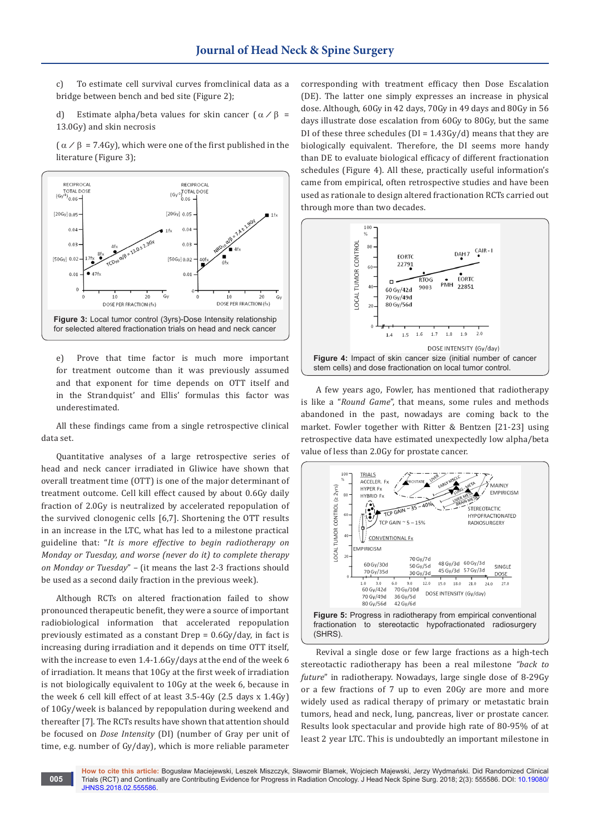c) To estimate cell survival curves fromclinical data as a bridge between bench and bed site (Figure 2);

d) Estimate alpha/beta values for skin cancer  $(\alpha / \beta =$ 13.0Gy) and skin necrosis

 $(\alpha$  /  $\beta$  = 7.4Gy), which were one of the first published in the literature (Figure 3);



e) Prove that time factor is much more important for treatment outcome than it was previously assumed and that exponent for time depends on OTT itself and in the Strandquist' and Ellis' formulas this factor was underestimated.

All these findings came from a single retrospective clinical data set.

Quantitative analyses of a large retrospective series of head and neck cancer irradiated in Gliwice have shown that overall treatment time (OTT) is one of the major determinant of treatment outcome. Cell kill effect caused by about 0.6Gy daily fraction of 2.0Gy is neutralized by accelerated repopulation of the survived clonogenic cells [6,7]. Shortening the OTT results in an increase in the LTC, what has led to a milestone practical guideline that: "*It is more effective to begin radiotherapy on Monday or Tuesday, and worse (never do it) to complete therapy on Monday or Tuesday*" – (it means the last 2-3 fractions should be used as a second daily fraction in the previous week).

Although RCTs on altered fractionation failed to show pronounced therapeutic benefit, they were a source of important radiobiological information that accelerated repopulation previously estimated as a constant Drep = 0.6Gy/day, in fact is increasing during irradiation and it depends on time OTT itself, with the increase to even 1.4-1.6Gy/days at the end of the week 6 of irradiation. It means that 10Gy at the first week of irradiation is not biologically equivalent to 10Gy at the week 6, because in the week 6 cell kill effect of at least 3.5-4Gy (2.5 days x 1.4Gy) of 10Gy/week is balanced by repopulation during weekend and thereafter [7]. The RCTs results have shown that attention should be focused on *Dose Intensity* (DI) (number of Gray per unit of time, e.g. number of Gy/day), which is more reliable parameter

**005**

corresponding with treatment efficacy then Dose Escalation (DE). The latter one simply expresses an increase in physical dose. Although, 60Gy in 42 days, 70Gy in 49 days and 80Gy in 56 days illustrate dose escalation from 60Gy to 80Gy, but the same DI of these three schedules ( $DI = 1.43Gy/d$ ) means that they are biologically equivalent. Therefore, the DI seems more handy than DE to evaluate biological efficacy of different fractionation schedules (Figure 4). All these, practically useful information's came from empirical, often retrospective studies and have been used as rationale to design altered fractionation RCTs carried out through more than two decades.



A few years ago, Fowler, has mentioned that radiotherapy is like a "*Round Game*", that means, some rules and methods abandoned in the past, nowadays are coming back to the market. Fowler together with Ritter & Bentzen [21-23] using retrospective data have estimated unexpectedly low alpha/beta value of less than 2.0Gy for prostate cancer.



Revival a single dose or few large fractions as a high-tech stereotactic radiotherapy has been a real milestone *"back to future*" in radiotherapy. Nowadays, large single dose of 8-29Gy or a few fractions of 7 up to even 20Gy are more and more widely used as radical therapy of primary or metastatic brain tumors, head and neck, lung, pancreas, liver or prostate cancer. Results look spectacular and provide high rate of 80-95% of at least 2 year LTC. This is undoubtedly an important milestone in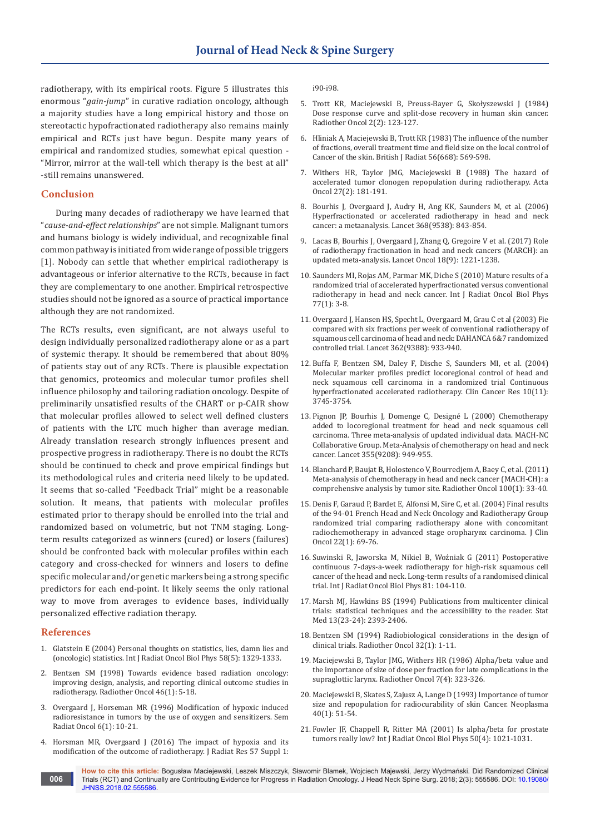radiotherapy, with its empirical roots. Figure 5 illustrates this enormous "*gain-jump*" in curative radiation oncology, although a majority studies have a long empirical history and those on stereotactic hypofractionated radiotherapy also remains mainly empirical and RCTs just have begun. Despite many years of empirical and randomized studies, somewhat epical question - "Mirror, mirror at the wall-tell which therapy is the best at all" -still remains unanswered.

## **Conclusion**

During many decades of radiotherapy we have learned that "*cause-and-effect relationships*" are not simple. Malignant tumors and humans biology is widely individual, and recognizable final common pathway is initiated from wide range of possible triggers [1]. Nobody can settle that whether empirical radiotherapy is advantageous or inferior alternative to the RCTs, because in fact they are complementary to one another. Empirical retrospective studies should not be ignored as a source of practical importance although they are not randomized.

The RCTs results, even significant, are not always useful to design individually personalized radiotherapy alone or as a part of systemic therapy. It should be remembered that about 80% of patients stay out of any RCTs. There is plausible expectation that genomics, proteomics and molecular tumor profiles shell influence philosophy and tailoring radiation oncology. Despite of preliminarily unsatisfied results of the CHART or p-CAIR show that molecular profiles allowed to select well defined clusters of patients with the LTC much higher than average median. Already translation research strongly influences present and prospective progress in radiotherapy. There is no doubt the RCTs should be continued to check and prove empirical findings but its methodological rules and criteria need likely to be updated. It seems that so-called "Feedback Trial" might be a reasonable solution. It means, that patients with molecular profiles estimated prior to therapy should be enrolled into the trial and randomized based on volumetric, but not TNM staging. Longterm results categorized as winners (cured) or losers (failures) should be confronted back with molecular profiles within each category and cross-checked for winners and losers to define specific molecular and/or genetic markers being a strong specific predictors for each end-point. It likely seems the only rational way to move from averages to evidence bases, individually personalized effective radiation therapy.

#### **References**

- 1. [Glatstein E \(2004\) Personal thoughts on statistics, lies, damn lies and](https://www.ncbi.nlm.nih.gov/pubmed/15050306)  [\(oncologic\) statistics. Int J Radiat Oncol Biol Phys 58\(5\): 1329-1333.](https://www.ncbi.nlm.nih.gov/pubmed/15050306)
- 2. [Bentzen SM \(1998\) Towards evidence based radiation oncology:](https://www.ncbi.nlm.nih.gov/pubmed/9488121)  [improving design, analysis, and reporting clinical outcome studies in](https://www.ncbi.nlm.nih.gov/pubmed/9488121)  [radiotherapy. Radiother Oncol 46\(1\): 5-18.](https://www.ncbi.nlm.nih.gov/pubmed/9488121)
- 3. [Overgaard J, Horseman MR \(1996\) Modification of hypoxic induced](https://www.ncbi.nlm.nih.gov/pubmed/10717158)  [radioresistance in tumors by the use of oxygen and sensitizers. Sem](https://www.ncbi.nlm.nih.gov/pubmed/10717158)  [Radiat Oncol 6\(1\): 10-21.](https://www.ncbi.nlm.nih.gov/pubmed/10717158)
- 4. [Horsman MR, Overgaard J \(2016\) The impact of hypoxia and its](https://www.ncbi.nlm.nih.gov/pubmed/26983987)  [modification of the outcome of radiotherapy. J Radiat Res 57 Suppl 1:](https://www.ncbi.nlm.nih.gov/pubmed/26983987)

[i90-i98.](https://www.ncbi.nlm.nih.gov/pubmed/26983987)

- 5. [Trott KR, Maciejewski B, Preuss-Bayer G, Skołyszewski J \(1984\)](https://www.ncbi.nlm.nih.gov/pubmed/6505282)  [Dose response curve and split-dose recovery in human skin cancer.](https://www.ncbi.nlm.nih.gov/pubmed/6505282)  [Radiother Oncol 2\(2\): 123-127.](https://www.ncbi.nlm.nih.gov/pubmed/6505282)
- 6. [Hliniak A, Maciejewski B, Trott KR \(1983\) The influence of the number](http://www.birpublications.org/doi/10.1259/0007-1285-56-668-596)  [of fractions, overall treatment time and field size on the local control of](http://www.birpublications.org/doi/10.1259/0007-1285-56-668-596)  [Cancer of the skin. British J Radiat 56\(668\): 569-598.](http://www.birpublications.org/doi/10.1259/0007-1285-56-668-596)
- 7. [Withers HR, Taylor JMG, Maciejewski B \(1988\) The hazard of](https://www.ncbi.nlm.nih.gov/pubmed/3390344)  [accelerated tumor clonogen repopulation during radiotherapy. Acta](https://www.ncbi.nlm.nih.gov/pubmed/3390344)  [Oncol 27\(2\): 181-191.](https://www.ncbi.nlm.nih.gov/pubmed/3390344)
- 8. [Bourhis J, Overgaard J, Audry H, Ang KK, Saunders M, et al. \(2006\)](https://www.ncbi.nlm.nih.gov/pubmed/16950362)  [Hyperfractionated or accelerated radiotherapy in head and neck](https://www.ncbi.nlm.nih.gov/pubmed/16950362)  [cancer: a metaanalysis. Lancet 368\(9538\): 843-854.](https://www.ncbi.nlm.nih.gov/pubmed/16950362)
- 9. [Lacas B, Bourhis J, Overgaard J, Zhang Q, Gregoire V et al. \(2017\) Role](https://www.ncbi.nlm.nih.gov/pubmed/28757375/)  [of radiotherapy fractionation in head and neck cancers \(MARCH\): an](https://www.ncbi.nlm.nih.gov/pubmed/28757375/)  [updated meta-analysis. Lancet Oncol 18\(9\): 1221-1238.](https://www.ncbi.nlm.nih.gov/pubmed/28757375/)
- 10. [Saunders MI, Rojas AM, Parmar MK, Diche S \(2010\) Mature results of a](https://www.ncbi.nlm.nih.gov/pubmed/20394851)  [randomized trial of accelerated hyperfractionated versus conventional](https://www.ncbi.nlm.nih.gov/pubmed/20394851)  [radiotherapy in head and neck cancer. Int J Radiat Oncol Biol Phys](https://www.ncbi.nlm.nih.gov/pubmed/20394851)  [77\(1\): 3-8.](https://www.ncbi.nlm.nih.gov/pubmed/20394851)
- 11. [Overgaard J, Hansen HS, Specht L, Overgaard M, Grau C et al \(2003\) Fie](https://www.ncbi.nlm.nih.gov/pubmed/14511925)  [compared with six fractions per week of conventional radiotherapy of](https://www.ncbi.nlm.nih.gov/pubmed/14511925)  [squamous cell carcinoma of head and neck: DAHANCA 6&7 randomized](https://www.ncbi.nlm.nih.gov/pubmed/14511925)  [controlled trial. Lancet 362\(9388\): 933-940.](https://www.ncbi.nlm.nih.gov/pubmed/14511925)
- 12. [Buffa F, Bentzen SM, Daley F, Dische S, Saunders MI, et al. \(2004\)](https://www.ncbi.nlm.nih.gov/pubmed/15173081)  [Molecular marker profiles predict locoregional control of head and](https://www.ncbi.nlm.nih.gov/pubmed/15173081)  [neck squamous cell carcinoma in a randomized trial Continuous](https://www.ncbi.nlm.nih.gov/pubmed/15173081)  [hyperfractionated accelerated radiotherapy. Clin Cancer Res 10\(11\):](https://www.ncbi.nlm.nih.gov/pubmed/15173081)  [3745-3754.](https://www.ncbi.nlm.nih.gov/pubmed/15173081)
- 13. [Pignon JP, Bourhis J, Domenge C, Designé L \(2000\) Chemotherapy](https://www.ncbi.nlm.nih.gov/pubmed/10768432)  [added to locoregional treatment for head and neck squamous cell](https://www.ncbi.nlm.nih.gov/pubmed/10768432)  [carcinoma. Three meta-analysis of updated individual data. MACH-NC](https://www.ncbi.nlm.nih.gov/pubmed/10768432)  [Collaborative Group. Meta-Analysis of chemotherapy on head and neck](https://www.ncbi.nlm.nih.gov/pubmed/10768432)  [cancer. Lancet 355\(9208\): 949-955.](https://www.ncbi.nlm.nih.gov/pubmed/10768432)
- 14. [Blanchard P, Baujat B, Holostenco V, Bourredjem A, Baey C, et al. \(2011\)](https://www.ncbi.nlm.nih.gov/pubmed/21684027)  [Meta-analysis of chemotherapy in head and neck cancer \(MACH-CH\): a](https://www.ncbi.nlm.nih.gov/pubmed/21684027)  [comprehensive analysis by tumor site. Radiother Oncol 100\(1\): 33-40.](https://www.ncbi.nlm.nih.gov/pubmed/21684027)
- 15. [Denis F, Garaud P, Bardet E, Alfonsi M, Sire C, et al. \(2004\) Final results](https://www.ncbi.nlm.nih.gov/pubmed/14657228)  [of the 94-01 French Head and Neck Oncology and Radiotherapy Group](https://www.ncbi.nlm.nih.gov/pubmed/14657228)  [randomized trial comparing radiotherapy alone with concomitant](https://www.ncbi.nlm.nih.gov/pubmed/14657228)  [radiochemotherapy in advanced stage oropharynx carcinoma. J Clin](https://www.ncbi.nlm.nih.gov/pubmed/14657228)  [Oncol 22\(1\): 69-76.](https://www.ncbi.nlm.nih.gov/pubmed/14657228)
- 16. Suwinski R, Jaworska M, Nikiel B, Woźniak G (2011) Postoperative continuous 7-days-a-week radiotherapy for high-risk squamous cell cancer of the head and neck. Long-term results of a randomised clinical trial. Int J Radiat Oncol Biol Phys 81: 104-110.
- 17. [Marsh MJ, Hawkins BS \(1994\) Publications from multicenter clinical](https://www.ncbi.nlm.nih.gov/pubmed/7701142)  [trials: statistical techniques and the accessibility to the reader. Stat](https://www.ncbi.nlm.nih.gov/pubmed/7701142)  [Med 13\(23-24\): 2393-2406.](https://www.ncbi.nlm.nih.gov/pubmed/7701142)
- 18. [Bentzen SM \(1994\) Radiobiological considerations in the design of](http://www.thegreenjournal.com/article/0167-8140(94)90443-X/pdf)  [clinical trials. Radiother Oncol 32\(1\): 1-11.](http://www.thegreenjournal.com/article/0167-8140(94)90443-X/pdf)
- 19. [Maciejewski B, Taylor JMG, Withers HR \(1986\) Alpha/beta value and](https://www.ncbi.nlm.nih.gov/pubmed/3809591)  [the importance of size of dose per fraction for late complications in the](https://www.ncbi.nlm.nih.gov/pubmed/3809591)  [supraglottic larynx. Radiother Oncol 7\(4\): 323-326.](https://www.ncbi.nlm.nih.gov/pubmed/3809591)
- 20. [Maciejewski B, Skates S, Zajusz A, Lange D \(1993\) Importance of tumor](https://www.ncbi.nlm.nih.gov/pubmed/8350948)  [size and repopulation for radiocurability of skin Cancer. Neoplasma](https://www.ncbi.nlm.nih.gov/pubmed/8350948)  [40\(1\): 51-54.](https://www.ncbi.nlm.nih.gov/pubmed/8350948)
- 21. [Fowler JF, Chappell R, Ritter MA \(2001\) Is alpha/beta for prostate](https://www.ncbi.nlm.nih.gov/pubmed/11429230)  [tumors really low? Int J Radiat Oncol Biol Phys 50\(4\): 1021-1031.](https://www.ncbi.nlm.nih.gov/pubmed/11429230)
- **How to cite this article:** Bogusław Maciejewski, Leszek Miszczyk, Sławomir Blamek, Wojciech Majewski, Jerzy Wydmański. Did Randomized Clinical Trials (RCT) and Continually are Contributing Evidence for Progress in Radiation Oncology. J Head Neck Spine Surg. 2018; 2(3): 555586. DOI: [10.19080/](http://dx.doi.org/10.19080/jhnss.2018.02.555586
) [JHNSS.2018.02.555586.](http://dx.doi.org/10.19080/jhnss.2018.02.555586
) **006**